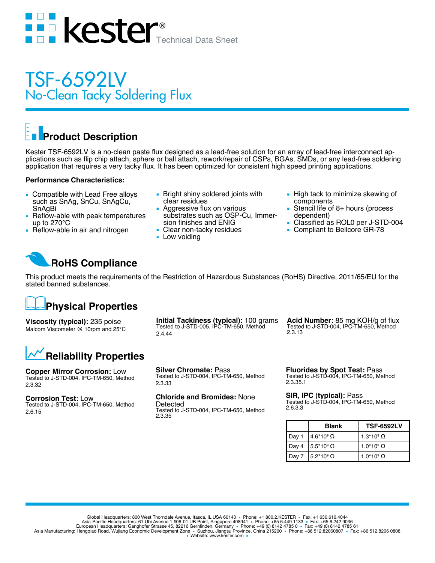

## TSF-6592LV No-Clean Tacky Soldering Flux

# **Product Description**

Kester TSF-6592LV is a no-clean paste flux designed as a lead-free solution for an array of lead-free interconnect applications such as flip chip attach, sphere or ball attach, rework/repair of CSPs, BGAs, SMDs, or any lead-free soldering application that requires a very tacky flux. It has been optimized for consistent high speed printing applications.

#### **Performance Characteristics:**

- Compatible with Lead Free alloys such as SnAg, SnCu, SnAgCu, SnAgBi
- Reflow-able with peak temperatures up to 270°C
- Reflow-able in air and nitrogen
- Bright shiny soldered joints with clear residues
- Aggressive flux on various substrates such as OSP-Cu, Immersion finishes and ENIG
- Clear non-tacky residues
- Low voiding
- High tack to minimize skewing of components
- Stencil life of  $8+$  hours (process dependent)
- Classified as ROL0 per J-STD-004
- Compliant to Bellcore GR-78

### **RoHS Compliance**

This product meets the requirements of the Restriction of Hazardous Substances (RoHS) Directive, 2011/65/EU for the stated banned substances.

#### **Physical Properties**

**Viscosity (typical):** 235 poise Malcom Viscometer @ 10rpm and 25°C **Initial Tackiness (typical):** 100 grams Tested to J-STD-005, IPC-TM-650, Method 2.4.44

**Acid Number:** 85 mg KOH/g of flux Tested to J-STD-004, IPC-TM-650, Method 2.3.13



**Copper Mirror Corrosion:** Low Tested to J-STD-004, IPC-TM-650, Method 2.3.32

**Corrosion Test:** Low Tested to J-STD-004, IPC-TM-650, Method 2.6.15

**Silver Chromate:** Pass Tested to J-STD-004, IPC-TM-650, Method 2.3.33

**Chloride and Bromides:** None Detected

Tested to J-STD-004, IPC-TM-650, Method 2.3.35

**Fluorides by Spot Test:** Pass Tested to J-STD-004, IPC-TM-650, Method 2.3.35.1

**SIR, IPC (typical):** Pass Tested to J-STD-004, IPC-TM-650, Method 2.6.3.3

|       | <b>Blank</b>        | <b>TSF-6592LV</b>          |
|-------|---------------------|----------------------------|
| Day 1 | $4.6*109$ $\Omega$  | 1.3*10 $^{\circ}$ $\Omega$ |
| Day 4 | $15.5*109$ $\Omega$ | 1.0*10 $^{\circ}$ $\Omega$ |
| Day 7 | $5.2*10^9 \Omega$   | 1.0*10 $^{\circ}$ $\Omega$ |

Global Headquarters: 800 West Thorndale Avenue, Itasca, IL USA 60143 • Phone: +1 800.2.KESTER • Fax: +1 630.616.4044<br>Asia-Pacific Headquarters: 61 Ubi Avenue 1 #06-01 UB Point, Singapore 408941 • Phone: +65 6.449.1133 • Fa